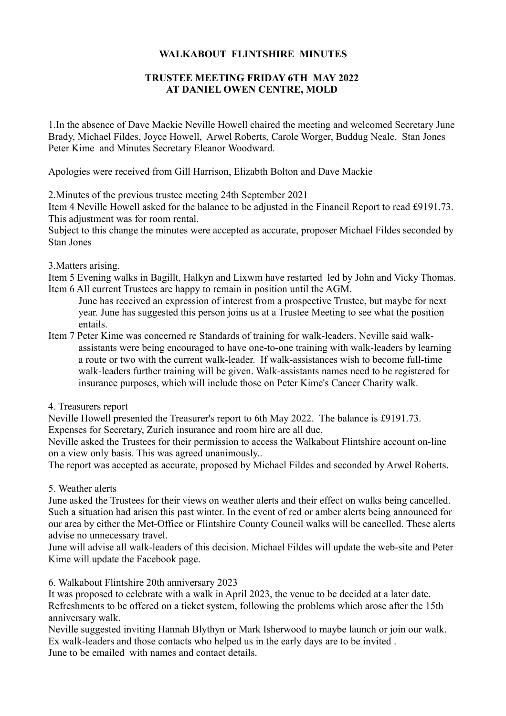## **WALKABOUT FLINTSHIRE MINUTES**

## **TRUSTEE MEETING FRIDAY 6TH MAY 2022 AT DANIEL OWEN CENTRE, MOLD**

1.In the absence of Dave Mackie Neville Howell chaired the meeting and welcomed Secretary June Brady, Michael Fildes, Joyce Howell, Arwel Roberts, Carole Worger, Buddug Neale, Stan Jones Peter Kime and Minutes Secretary Eleanor Woodward.

Apologies were received from Gill Harrison, Elizabth Bolton and Dave Mackie

2.Minutes of the previous trustee meeting 24th September 2021

Item 4 Neville Howell asked for the balance to be adjusted in the Financil Report to read £9191.73. This adjustment was for room rental.

Subject to this change the minutes were accepted as accurate, proposer Michael Fildes seconded by Stan Jones

3.Matters arising.

Item 5 Evening walks in Bagillt, Halkyn and Lixwm have restarted led by John and Vicky Thomas. Item 6 All current Trustees are happy to remain in position until the AGM.

- June has received an expression of interest from a prospective Trustee, but maybe for next year. June has suggested this person joins us at a Trustee Meeting to see what the position entails.
- Item 7 Peter Kime was concerned re Standards of training for walk-leaders. Neville said walkassistants were being encouraged to have one-to-one training with walk-leaders by learning a route or two with the current walk-leader. If walk-assistances wish to become full-time walk-leaders further training will be given. Walk-assistants names need to be registered for insurance purposes, which will include those on Peter Kime's Cancer Charity walk.
- 4. Treasurers report

Neville Howell presented the Treasurer's report to 6th May 2022. The balance is £9191.73.

Expenses for Secretary, Zurich insurance and room hire are all due.

Neville asked the Trustees for their permission to access the Walkabout Flintshire account on-line on a view only basis. This was agreed unanimously..

The report was accepted as accurate, proposed by Michael Fildes and seconded by Arwel Roberts.

5. Weather alerts

June asked the Trustees for their views on weather alerts and their effect on walks being cancelled. Such a situation had arisen this past winter. In the event of red or amber alerts being announced for our area by either the Met-Office or Flintshire County Council walks will be cancelled. These alerts advise no unnecessary travel.

June will advise all walk-leaders of this decision. Michael Fildes will update the web-site and Peter Kime will update the Facebook page.

6. Walkabout Flintshire 20th anniversary 2023

It was proposed to celebrate with a walk in April 2023, the venue to be decided at a later date. Refreshments to be offered on a ticket system, following the problems which arose after the 15th anniversary walk.

Neville suggested inviting Hannah Blythyn or Mark Isherwood to maybe launch or join our walk. Ex walk-leaders and those contacts who helped us in the early days are to be invited . June to be emailed with names and contact details.